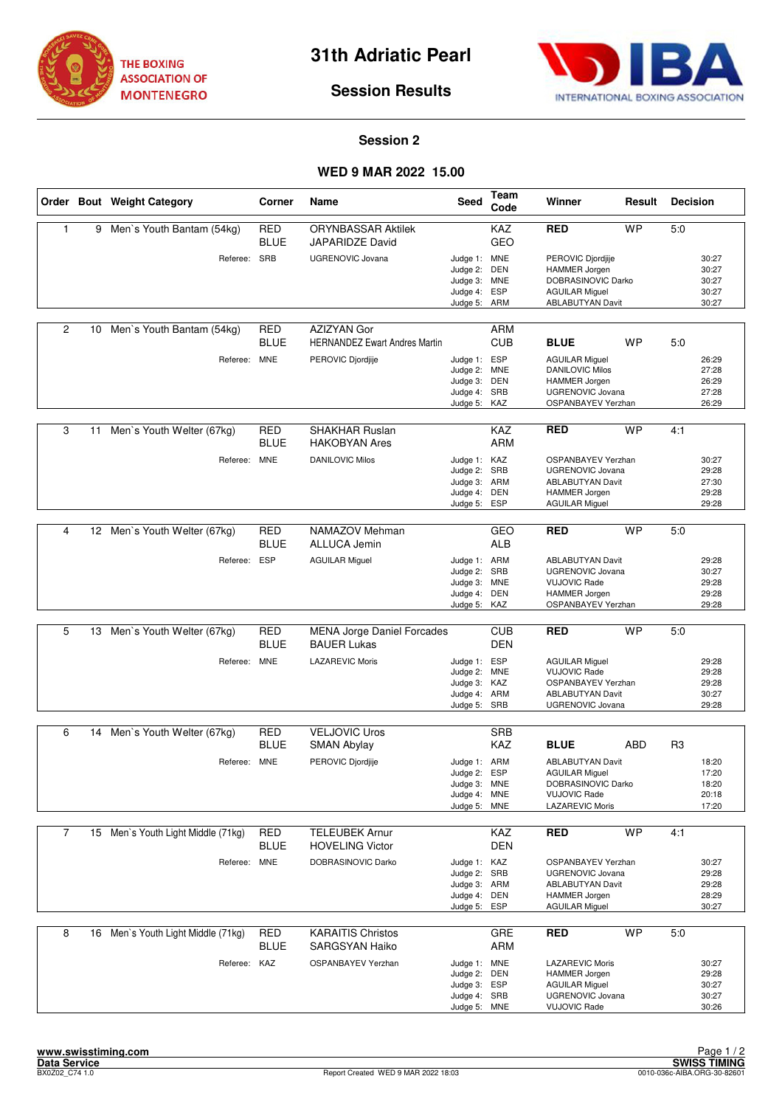



**Session Results**

## **Session 2**

## **WED 9 MAR 2022 15.00**

|                |    | Order Bout Weight Category         | Corner                    | Name                                                       | <b>Seed</b>                                                                  | Team<br>Code             | Winner                                                                                                                           | Result     | <b>Decision</b> |                                           |
|----------------|----|------------------------------------|---------------------------|------------------------------------------------------------|------------------------------------------------------------------------------|--------------------------|----------------------------------------------------------------------------------------------------------------------------------|------------|-----------------|-------------------------------------------|
| $\mathbf{1}$   |    | 9 Men's Youth Bantam (54kg)        | <b>RED</b><br><b>BLUE</b> | <b>ORYNBASSAR Aktilek</b><br>JAPARIDZE David               |                                                                              | KAZ<br><b>GEO</b>        | <b>RED</b>                                                                                                                       | <b>WP</b>  | 5:0             |                                           |
|                |    | Referee: SRB                       |                           | <b>UGRENOVIC Jovana</b>                                    | Judge 1: MNE<br>Judge 2: DEN<br>Judge 3: MNE<br>Judge 4: ESP<br>Judge 5: ARM |                          | PEROVIC Djordjije<br>HAMMER Jorgen<br>DOBRASINOVIC Darko<br><b>AGUILAR Miguel</b><br><b>ABLABUTYAN Davit</b>                     |            |                 | 30:27<br>30:27<br>30:27<br>30:27<br>30:27 |
| $\overline{c}$ | 10 | Men's Youth Bantam (54kg)          | RED<br><b>BLUE</b>        | <b>AZIZYAN Gor</b><br><b>HERNANDEZ Ewart Andres Martin</b> |                                                                              | ARM<br><b>CUB</b>        | <b>BLUE</b>                                                                                                                      | <b>WP</b>  | 5:0             |                                           |
|                |    | Referee: MNE                       |                           | PEROVIC Djordjije                                          | Judge 1: ESP<br>Judge 2: MNE<br>Judge 3: DEN<br>Judge 4: SRB<br>Judge 5: KAZ |                          | <b>AGUILAR Miguel</b><br><b>DANILOVIC Milos</b><br>HAMMER Jorgen<br><b>UGRENOVIC Jovana</b><br>OSPANBAYEV Yerzhan                |            |                 | 26:29<br>27:28<br>26:29<br>27:28<br>26:29 |
| 3              | 11 | Men's Youth Welter (67kg)          | <b>RED</b><br><b>BLUE</b> | <b>SHAKHAR Ruslan</b><br><b>HAKOBYAN Ares</b>              |                                                                              | KAZ<br><b>ARM</b>        | <b>RED</b>                                                                                                                       | <b>WP</b>  | 4:1             |                                           |
|                |    | Referee:                           | <b>MNE</b>                | <b>DANILOVIC Milos</b>                                     | Judge 1: KAZ<br>Judge 2: SRB<br>Judge 3: ARM<br>Judge 4: DEN<br>Judge 5:     | ESP                      | <b>OSPANBAYEV Yerzhan</b><br><b>UGRENOVIC Jovana</b><br><b>ABLABUTYAN Davit</b><br><b>HAMMER Jorgen</b><br><b>AGUILAR Miguel</b> |            |                 | 30:27<br>29:28<br>27:30<br>29:28<br>29:28 |
|                |    |                                    |                           |                                                            |                                                                              |                          |                                                                                                                                  |            |                 |                                           |
| $\overline{4}$ |    | 12 Men's Youth Welter (67kg)       | <b>RED</b><br><b>BLUE</b> | NAMAZOV Mehman<br><b>ALLUCA Jemin</b>                      |                                                                              | GEO<br><b>ALB</b>        | <b>RED</b>                                                                                                                       | <b>WP</b>  | 5:0             |                                           |
|                |    | Referee: ESP                       |                           | <b>AGUILAR Miguel</b>                                      | Judge 1: ARM<br>Judge 2:<br>Judge 3: MNE<br>Judge 4: DEN<br>Judge 5: KAZ     | SRB                      | <b>ABLABUTYAN Davit</b><br><b>UGRENOVIC Jovana</b><br><b>VUJOVIC Rade</b><br>HAMMER Jorgen<br>OSPANBAYEV Yerzhan                 |            |                 | 29:28<br>30:27<br>29:28<br>29:28<br>29:28 |
|                |    |                                    |                           |                                                            |                                                                              |                          |                                                                                                                                  |            |                 |                                           |
| 5              |    | 13 Men's Youth Welter (67kg)       | <b>RED</b><br><b>BLUE</b> | <b>MENA Jorge Daniel Forcades</b><br><b>BAUER Lukas</b>    |                                                                              | <b>CUB</b><br><b>DEN</b> | <b>RED</b>                                                                                                                       | <b>WP</b>  | 5:0             |                                           |
|                |    | Referee: MNE                       |                           | <b>LAZAREVIC Moris</b>                                     | Judge 1: ESP<br>Judge 2: MNE<br>Judge 3: KAZ<br>Judge 4: ARM<br>Judge 5: SRB |                          | <b>AGUILAR Miguel</b><br><b>VUJOVIC Rade</b><br><b>OSPANBAYEV Yerzhan</b><br><b>ABLABUTYAN Davit</b><br><b>UGRENOVIC Jovana</b>  |            |                 | 29:28<br>29:28<br>29:28<br>30:27<br>29:28 |
| 6              | 14 | Men's Youth Welter (67kg)          | <b>RED</b>                | <b>VELJOVIC Uros</b>                                       |                                                                              | <b>SRB</b>               |                                                                                                                                  |            |                 |                                           |
|                |    |                                    | <b>BLUE</b>               | SMAN Abylay                                                |                                                                              | KAZ                      | <b>BLUE</b>                                                                                                                      | <b>ABD</b> | R <sub>3</sub>  |                                           |
|                |    | Referee: MNE                       |                           | PEROVIC Djordjije                                          | Judge 1: ARM<br>Judge 2:<br>Judge 3: MNE<br>Judge 4: MNE<br>Judge 5: MNE     | <b>ESP</b>               | <b>ABLABUTYAN Davit</b><br><b>AGUILAR Miguel</b><br>DOBRASINOVIC Darko<br><b>VUJOVIC Rade</b><br><b>LAZAREVIC Moris</b>          |            |                 | 18:20<br>17:20<br>18:20<br>20:18<br>17:20 |
| $\overline{7}$ |    | 15 Men's Youth Light Middle (71kg) | <b>RED</b>                | <b>TELEUBEK Arnur</b>                                      |                                                                              | KAZ                      | <b>RED</b>                                                                                                                       | <b>WP</b>  | 4:1             |                                           |
|                |    |                                    | <b>BLUE</b>               | <b>HOVELING Victor</b>                                     |                                                                              | <b>DEN</b>               |                                                                                                                                  |            |                 |                                           |
|                |    | Referee: MNE                       |                           | DOBRASINOVIC Darko                                         | Judge 1: KAZ<br>Judge 2: SRB<br>Judge 3: ARM<br>Judge 4: DEN<br>Judge 5: ESP |                          | <b>OSPANBAYEV Yerzhan</b><br>UGRENOVIC Jovana<br><b>ABLABUTYAN Davit</b><br><b>HAMMER Jorgen</b><br><b>AGUILAR Miguel</b>        |            |                 | 30:27<br>29:28<br>29:28<br>28:29<br>30:27 |
| 8              | 16 | Men's Youth Light Middle (71kg)    | RED<br><b>BLUE</b>        | <b>KARAITIS Christos</b><br><b>SARGSYAN Haiko</b>          |                                                                              | GRE<br>ARM               | <b>RED</b>                                                                                                                       | <b>WP</b>  | 5:0             |                                           |
|                |    | Referee: KAZ                       |                           | OSPANBAYEV Yerzhan                                         | Judge 1: MNE<br>Judge 2: DEN<br>Judge 3: ESP<br>Judge 4: SRB<br>Judge 5: MNE |                          | <b>LAZAREVIC Moris</b><br>HAMMER Jorgen<br><b>AGUILAR Miguel</b><br>UGRENOVIC Jovana<br><b>VUJOVIC Rade</b>                      |            |                 | 30:27<br>29:28<br>30:27<br>30:27<br>30:26 |